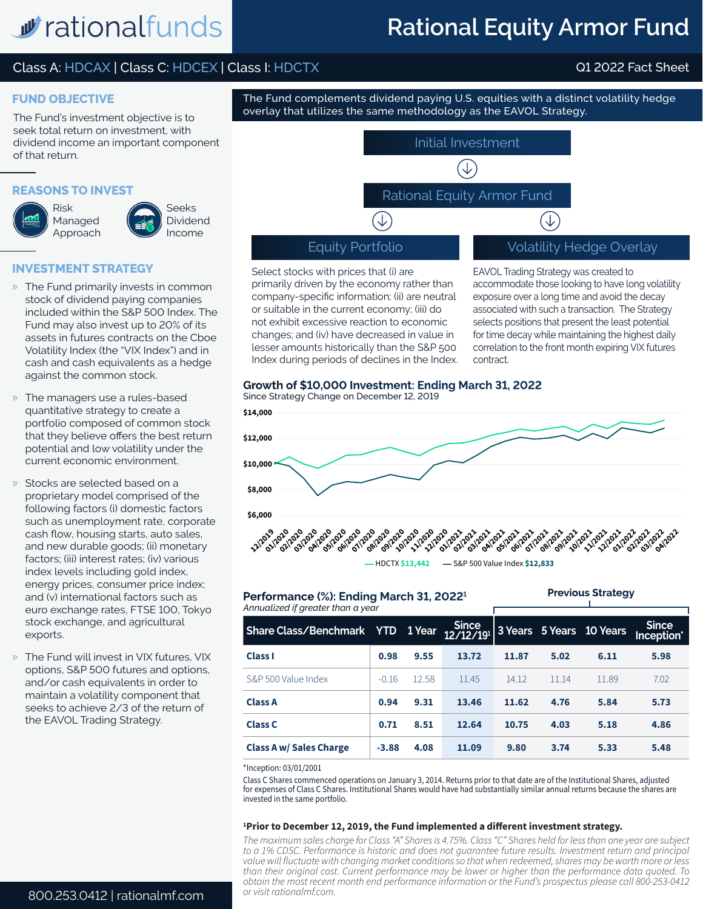## w rationalfunds

## **Rational Equity Armor Fund**

## Class A: HDCAX | Class C: HDCEX | Class I: HDCTX Q1 2022 Fact Sheet

## **FUND OBJECTIVE**

The Fund's investment objective is to seek total return on investment, with dividend income an important component of that return.

## **REASONS TO INVEST**

**INVESTMENT STRATEGY**





Seeks

- » The Fund primarily invests in common stock of dividend paying companies included within the S&P 500 Index. The Fund may also invest up to 20% of its assets in futures contracts on the Cboe Volatility Index (the "VIX Index") and in cash and cash equivalents as a hedge against the common stock.
- » The managers use a rules-based quantitative strategy to create a portfolio composed of common stock that they believe offers the best return potential and low volatility under the current economic environment.
- Stocks are selected based on a proprietary model comprised of the following factors (i) domestic factors such as unemployment rate, corporate cash flow, housing starts, auto sales, and new durable goods; (ii) monetary factors; (iii) interest rates; (iv) various index levels including gold index, energy prices, consumer price index; and (v) international factors such as euro exchange rates, FTSE 100, Tokyo stock exchange, and agricultural exports.
- » The Fund will invest in VIX futures, VIX options, S&P 500 futures and options, and/or cash equivalents in order to maintain a volatility component that seeks to achieve 2/3 of the return of the EAVOL Trading Strategy.



The Fund complements dividend paying U.S. equities with a distinct volatility hedge

Select stocks with prices that (i) are primarily driven by the economy rather than company-specific information; (ii) are neutral or suitable in the current economy; (iii) do not exhibit excessive reaction to economic changes; and (iv) have decreased in value in lesser amounts historically than the S&P 500 Index during periods of declines in the Index. EAVOL Trading Strategy was created to accommodate those looking to have long volatility exposure over a long time and avoid the decay associated with such a transaction. The Strategy selects positions that present the least potential for time decay while maintaining the highest daily correlation to the front month expiring VIX futures contract.

## **Growth of \$10,000 Investment: Ending March 31, 2022**



### *Annualized if greater than a year* **Performance (%): Ending March 31, 20221**

|  | <b>Previous Strategy</b> |
|--|--------------------------|
|  |                          |

| \nnualized if greater than a year     |         |       |       |       |       |                          |                            |
|---------------------------------------|---------|-------|-------|-------|-------|--------------------------|----------------------------|
| Share Class/Benchmark YTD 1Year Since |         |       |       |       |       | 3 Years 5 Years 10 Years | <b>Since</b><br>Inception* |
| Class I                               | 0.98    | 9.55  | 13.72 | 11.87 | 5.02  | 6.11                     | 5.98                       |
| S&P 500 Value Index                   | $-0.16$ | 12.58 | 11.45 | 14.12 | 11.14 | 11.89                    | 7.02                       |
| <b>Class A</b>                        | 0.94    | 9.31  | 13.46 | 11.62 | 4.76  | 5.84                     | 5.73                       |
| <b>Class C</b>                        | 0.71    | 8.51  | 12.64 | 10.75 | 4.03  | 5.18                     | 4.86                       |
| <b>Class A w/ Sales Charge</b>        | $-3.88$ | 4.08  | 11.09 | 9.80  | 3.74  | 5.33                     | 5.48                       |

#### \*Inception: 03/01/2001

Class C Shares commenced operations on January 3, 2014. Returns prior to that date are of the Institutional Shares, adjusted for expenses of Class C Shares. Institutional Shares would have had substantially similar annual returns because the shares are invested in the same portfolio.

### **1 Prior to December 12, 2019, the Fund implemented a different investment strategy.**

*The maximum sales charge for Class "A" Shares is 4.75%. Class "C" Shares held for less than one year are subject to a 1% CDSC. Performance is historic and does not guarantee future results. Investment return and principal value will fluctuate with changing market conditions so that when redeemed, shares may be worth more or less than their original cost. Current performance may be lower or higher than the performance data quoted. To obtain the most recent month end performance information or the Fund's prospectus please call 800-253-0412 or visit rationalmf.com.*